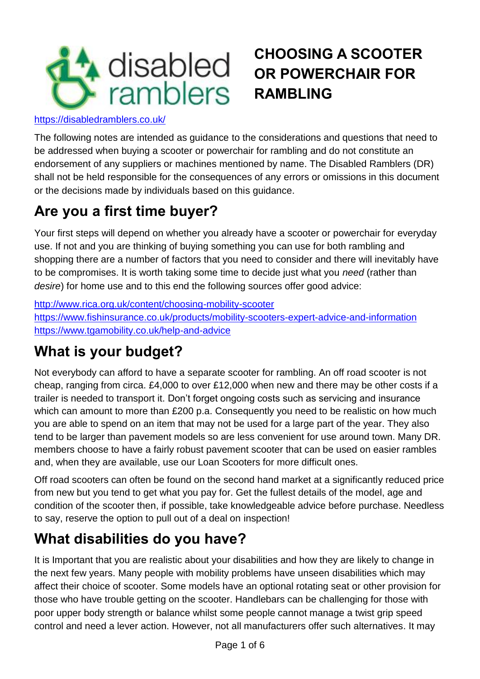

# **CHOOSING A SCOOTER OR POWERCHAIR FOR RAMBLING**

<https://disabledramblers.co.uk/>

The following notes are intended as guidance to the considerations and questions that need to be addressed when buying a scooter or powerchair for rambling and do not constitute an endorsement of any suppliers or machines mentioned by name. The Disabled Ramblers (DR) shall not be held responsible for the consequences of any errors or omissions in this document or the decisions made by individuals based on this guidance.

# **Are you a first time buyer?**

Your first steps will depend on whether you already have a scooter or powerchair for everyday use. If not and you are thinking of buying something you can use for both rambling and shopping there are a number of factors that you need to consider and there will inevitably have to be compromises. It is worth taking some time to decide just what you *need* (rather than *desire*) for home use and to this end the following sources offer good advice:

<http://www.rica.org.uk/content/choosing-mobility-scooter> <https://www.fishinsurance.co.uk/products/mobility-scooters-expert-advice-and-information> <https://www.tgamobility.co.uk/help-and-advice>

## **What is your budget?**

Not everybody can afford to have a separate scooter for rambling. An off road scooter is not cheap, ranging from circa. £4,000 to over £12,000 when new and there may be other costs if a trailer is needed to transport it. Don't forget ongoing costs such as servicing and insurance which can amount to more than £200 p.a. Consequently you need to be realistic on how much you are able to spend on an item that may not be used for a large part of the year. They also tend to be larger than pavement models so are less convenient for use around town. Many DR. members choose to have a fairly robust pavement scooter that can be used on easier rambles and, when they are available, use our Loan Scooters for more difficult ones.

Off road scooters can often be found on the second hand market at a significantly reduced price from new but you tend to get what you pay for. Get the fullest details of the model, age and condition of the scooter then, if possible, take knowledgeable advice before purchase. Needless to say, reserve the option to pull out of a deal on inspection!

## **What disabilities do you have?**

It is Important that you are realistic about your disabilities and how they are likely to change in the next few years. Many people with mobility problems have unseen disabilities which may affect their choice of scooter. Some models have an optional rotating seat or other provision for those who have trouble getting on the scooter. Handlebars can be challenging for those with poor upper body strength or balance whilst some people cannot manage a twist grip speed control and need a lever action. However, not all manufacturers offer such alternatives. It may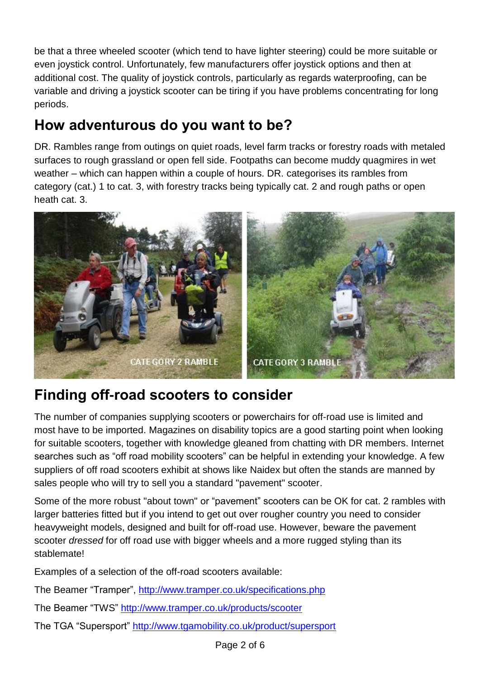be that a three wheeled scooter (which tend to have lighter steering) could be more suitable or even joystick control. Unfortunately, few manufacturers offer joystick options and then at additional cost. The quality of joystick controls, particularly as regards waterproofing, can be variable and driving a joystick scooter can be tiring if you have problems concentrating for long periods.

## **How adventurous do you want to be?**

DR. Rambles range from outings on quiet roads, level farm tracks or forestry roads with metaled surfaces to rough grassland or open fell side. Footpaths can become muddy quagmires in wet weather – which can happen within a couple of hours. DR. categorises its rambles from category (cat.) 1 to cat. 3, with forestry tracks being typically cat. 2 and rough paths or open heath cat. 3.



## **Finding off-road scooters to consider**

The number of companies supplying scooters or powerchairs for off-road use is limited and most have to be imported. Magazines on disability topics are a good starting point when looking for suitable scooters, together with knowledge gleaned from chatting with DR members. Internet searches such as "off road mobility scooters" can be helpful in extending your knowledge. A few suppliers of off road scooters exhibit at shows like Naidex but often the stands are manned by sales people who will try to sell you a standard "pavement" scooter.

Some of the more robust "about town" or "pavement" scooters can be OK for cat. 2 rambles with larger batteries fitted but if you intend to get out over rougher country you need to consider heavyweight models, designed and built for off-road use. However, beware the pavement scooter *dressed* for off road use with bigger wheels and a more rugged styling than its stablemate!

Examples of a selection of the off-road scooters available:

The Beamer "Tramper", <http://www.tramper.co.uk/specifications.php>

The Beamer "TWS" <http://www.tramper.co.uk/products/scooter>

The TGA "Supersport"<http://www.tgamobility.co.uk/product/supersport>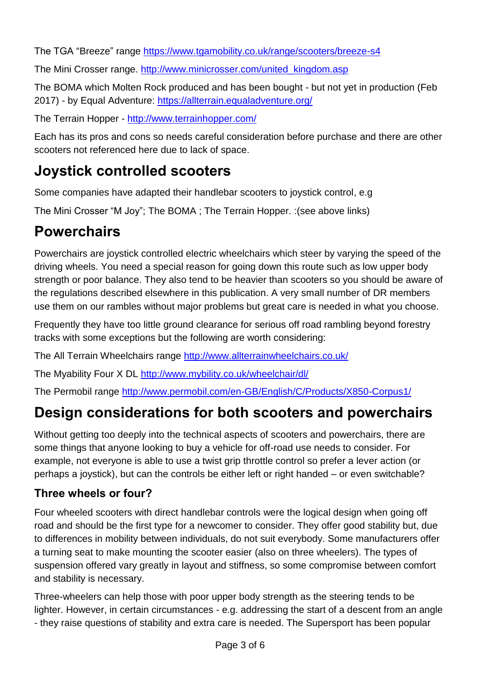The TGA "Breeze" range<https://www.tgamobility.co.uk/range/scooters/breeze-s4>

The Mini Crosser range. [http://www.minicrosser.com/united\\_kingdom.asp](http://www.minicrosser.com/united_kingdom.asp)

The BOMA which Molten Rock produced and has been bought - but not yet in production (Feb 2017) - by Equal Adventure: <https://allterrain.equaladventure.org/>

The Terrain Hopper - <http://www.terrainhopper.com/>

Each has its pros and cons so needs careful consideration before purchase and there are other scooters not referenced here due to lack of space.

## **Joystick controlled scooters**

Some companies have adapted their handlebar scooters to joystick control, e.g

The Mini Crosser "M Joy"; The BOMA ; The Terrain Hopper. :(see above links)

# **Powerchairs**

Powerchairs are joystick controlled electric wheelchairs which steer by varying the speed of the driving wheels. You need a special reason for going down this route such as low upper body strength or poor balance. They also tend to be heavier than scooters so you should be aware of the regulations described elsewhere in this publication. A very small number of DR members use them on our rambles without major problems but great care is needed in what you choose.

Frequently they have too little ground clearance for serious off road rambling beyond forestry tracks with some exceptions but the following are worth considering:

The All Terrain Wheelchairs range <http://www.allterrainwheelchairs.co.uk/>

The Myability Four X DL<http://www.mybility.co.uk/wheelchair/dl/>

The Permobil range <http://www.permobil.com/en-GB/English/C/Products/X850-Corpus1/>

## **Design considerations for both scooters and powerchairs**

Without getting too deeply into the technical aspects of scooters and powerchairs, there are some things that anyone looking to buy a vehicle for off-road use needs to consider. For example, not everyone is able to use a twist grip throttle control so prefer a lever action (or perhaps a joystick), but can the controls be either left or right handed – or even switchable?

### **Three wheels or four?**

Four wheeled scooters with direct handlebar controls were the logical design when going off road and should be the first type for a newcomer to consider. They offer good stability but, due to differences in mobility between individuals, do not suit everybody. Some manufacturers offer a turning seat to make mounting the scooter easier (also on three wheelers). The types of suspension offered vary greatly in layout and stiffness, so some compromise between comfort and stability is necessary.

Three-wheelers can help those with poor upper body strength as the steering tends to be lighter. However, in certain circumstances - e.g. addressing the start of a descent from an angle - they raise questions of stability and extra care is needed. The Supersport has been popular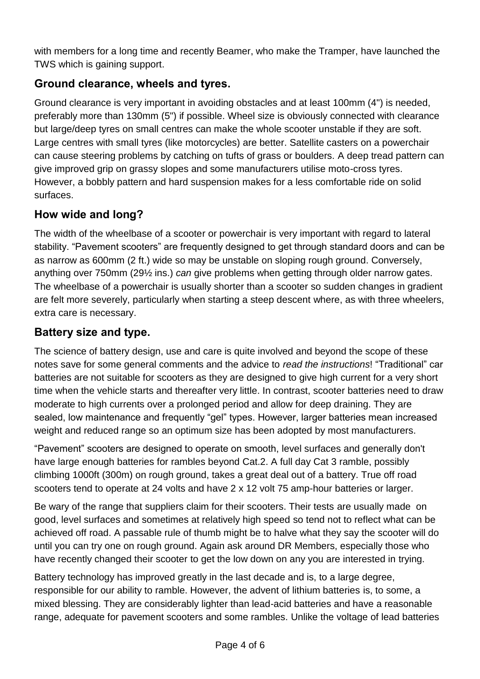with members for a long time and recently Beamer, who make the Tramper, have launched the TWS which is gaining support.

#### **Ground clearance, wheels and tyres.**

Ground clearance is very important in avoiding obstacles and at least 100mm (4") is needed, preferably more than 130mm (5") if possible. Wheel size is obviously connected with clearance but large/deep tyres on small centres can make the whole scooter unstable if they are soft. Large centres with small tyres (like motorcycles) are better. Satellite casters on a powerchair can cause steering problems by catching on tufts of grass or boulders. A deep tread pattern can give improved grip on grassy slopes and some manufacturers utilise moto-cross tyres. However, a bobbly pattern and hard suspension makes for a less comfortable ride on solid surfaces.

#### **How wide and long?**

The width of the wheelbase of a scooter or powerchair is very important with regard to lateral stability. "Pavement scooters" are frequently designed to get through standard doors and can be as narrow as 600mm (2 ft.) wide so may be unstable on sloping rough ground. Conversely, anything over 750mm (29½ ins.) *can* give problems when getting through older narrow gates. The wheelbase of a powerchair is usually shorter than a scooter so sudden changes in gradient are felt more severely, particularly when starting a steep descent where, as with three wheelers, extra care is necessary.

#### **Battery size and type.**

The science of battery design, use and care is quite involved and beyond the scope of these notes save for some general comments and the advice to *read the instructions*! "Traditional" car batteries are not suitable for scooters as they are designed to give high current for a very short time when the vehicle starts and thereafter very little. In contrast, scooter batteries need to draw moderate to high currents over a prolonged period and allow for deep draining. They are sealed, low maintenance and frequently "gel" types. However, larger batteries mean increased weight and reduced range so an optimum size has been adopted by most manufacturers.

"Pavement" scooters are designed to operate on smooth, level surfaces and generally don't have large enough batteries for rambles beyond Cat.2. A full day Cat 3 ramble, possibly climbing 1000ft (300m) on rough ground, takes a great deal out of a battery. True off road scooters tend to operate at 24 volts and have 2 x 12 volt 75 amp-hour batteries or larger.

Be wary of the range that suppliers claim for their scooters. Their tests are usually made on good, level surfaces and sometimes at relatively high speed so tend not to reflect what can be achieved off road. A passable rule of thumb might be to halve what they say the scooter will do until you can try one on rough ground. Again ask around DR Members, especially those who have recently changed their scooter to get the low down on any you are interested in trying.

Battery technology has improved greatly in the last decade and is, to a large degree, responsible for our ability to ramble. However, the advent of lithium batteries is, to some, a mixed blessing. They are considerably lighter than lead-acid batteries and have a reasonable range, adequate for pavement scooters and some rambles. Unlike the voltage of lead batteries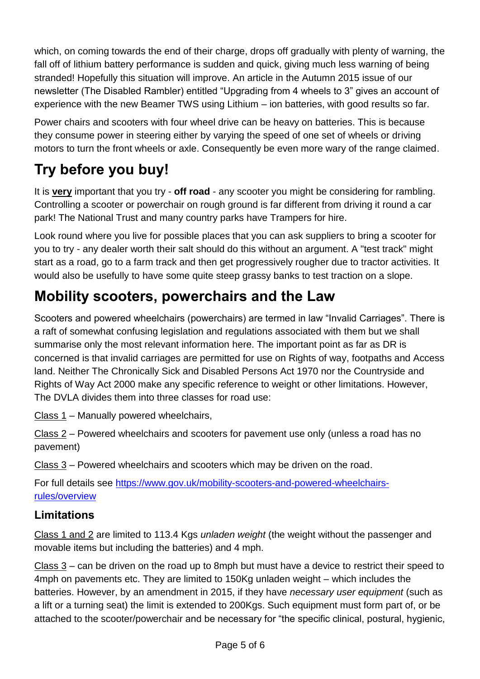which, on coming towards the end of their charge, drops off gradually with plenty of warning, the fall off of lithium battery performance is sudden and quick, giving much less warning of being stranded! Hopefully this situation will improve. An article in the Autumn 2015 issue of our newsletter (The Disabled Rambler) entitled "Upgrading from 4 wheels to 3" gives an account of experience with the new Beamer TWS using Lithium – ion batteries, with good results so far.

Power chairs and scooters with four wheel drive can be heavy on batteries. This is because they consume power in steering either by varying the speed of one set of wheels or driving motors to turn the front wheels or axle. Consequently be even more wary of the range claimed.

# **Try before you buy!**

It is **very** important that you try - **off road** - any scooter you might be considering for rambling. Controlling a scooter or powerchair on rough ground is far different from driving it round a car park! The National Trust and many country parks have Trampers for hire.

Look round where you live for possible places that you can ask suppliers to bring a scooter for you to try - any dealer worth their salt should do this without an argument. A "test track" might start as a road, go to a farm track and then get progressively rougher due to tractor activities. It would also be usefully to have some quite steep grassy banks to test traction on a slope.

## **Mobility scooters, powerchairs and the Law**

Scooters and powered wheelchairs (powerchairs) are termed in law "Invalid Carriages". There is a raft of somewhat confusing legislation and regulations associated with them but we shall summarise only the most relevant information here. The important point as far as DR is concerned is that invalid carriages are permitted for use on Rights of way, footpaths and Access land. Neither The Chronically Sick and Disabled Persons Act 1970 nor the Countryside and Rights of Way Act 2000 make any specific reference to weight or other limitations. However, The DVLA divides them into three classes for road use:

Class 1 – Manually powered wheelchairs,

Class 2 – Powered wheelchairs and scooters for pavement use only (unless a road has no pavement)

Class 3 – Powered wheelchairs and scooters which may be driven on the road.

For full details see [https://www.gov.uk/mobility-scooters-and-powered-wheelchairs](https://www.gov.uk/mobility-scooters-and-powered-wheelchairs-rules/overview)[rules/overview](https://www.gov.uk/mobility-scooters-and-powered-wheelchairs-rules/overview)

### **Limitations**

Class 1 and 2 are limited to 113.4 Kgs *unladen weight* (the weight without the passenger and movable items but including the batteries) and 4 mph.

Class 3 – can be driven on the road up to 8mph but must have a device to restrict their speed to 4mph on pavements etc. They are limited to 150Kg unladen weight – which includes the batteries. However, by an amendment in 2015, if they have *necessary user equipment* (such as a lift or a turning seat) the limit is extended to 200Kgs. Such equipment must form part of, or be attached to the scooter/powerchair and be necessary for "the specific clinical, postural, hygienic,